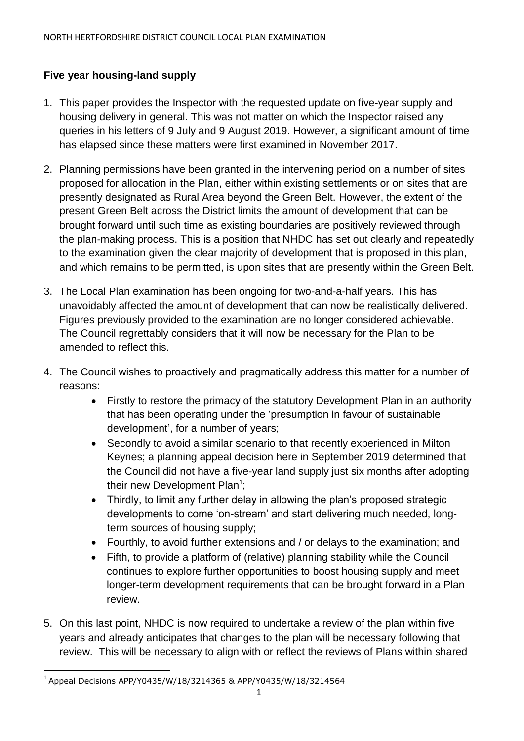# **Five year housing-land supply**

- 1. This paper provides the Inspector with the requested update on five-year supply and housing delivery in general. This was not matter on which the Inspector raised any queries in his letters of 9 July and 9 August 2019. However, a significant amount of time has elapsed since these matters were first examined in November 2017.
- 2. Planning permissions have been granted in the intervening period on a number of sites proposed for allocation in the Plan, either within existing settlements or on sites that are presently designated as Rural Area beyond the Green Belt. However, the extent of the present Green Belt across the District limits the amount of development that can be brought forward until such time as existing boundaries are positively reviewed through the plan-making process. This is a position that NHDC has set out clearly and repeatedly to the examination given the clear majority of development that is proposed in this plan, and which remains to be permitted, is upon sites that are presently within the Green Belt.
- 3. The Local Plan examination has been ongoing for two-and-a-half years. This has unavoidably affected the amount of development that can now be realistically delivered. Figures previously provided to the examination are no longer considered achievable. The Council regrettably considers that it will now be necessary for the Plan to be amended to reflect this.
- 4. The Council wishes to proactively and pragmatically address this matter for a number of reasons:
	- Firstly to restore the primacy of the statutory Development Plan in an authority that has been operating under the 'presumption in favour of sustainable development', for a number of years;
	- Secondly to avoid a similar scenario to that recently experienced in Milton Keynes; a planning appeal decision here in September 2019 determined that the Council did not have a five-year land supply just six months after adopting their new Development Plan<sup>1</sup>;
	- Thirdly, to limit any further delay in allowing the plan's proposed strategic developments to come 'on-stream' and start delivering much needed, longterm sources of housing supply;
	- Fourthly, to avoid further extensions and / or delays to the examination; and
	- Fifth, to provide a platform of (relative) planning stability while the Council continues to explore further opportunities to boost housing supply and meet longer-term development requirements that can be brought forward in a Plan review.
- 5. On this last point, NHDC is now required to undertake a review of the plan within five years and already anticipates that changes to the plan will be necessary following that review. This will be necessary to align with or reflect the reviews of Plans within shared

 $\overline{a}$ 1 Appeal Decisions APP/Y0435/W/18/3214365 & APP/Y0435/W/18/3214564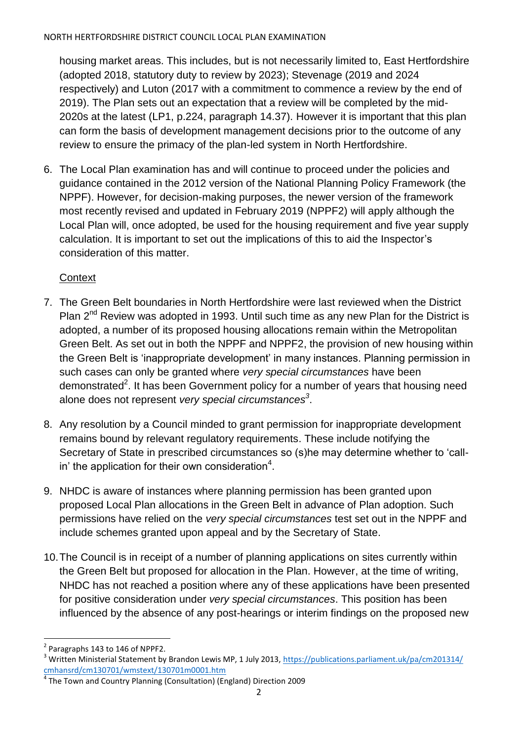housing market areas. This includes, but is not necessarily limited to, East Hertfordshire (adopted 2018, statutory duty to review by 2023); Stevenage (2019 and 2024 respectively) and Luton (2017 with a commitment to commence a review by the end of 2019). The Plan sets out an expectation that a review will be completed by the mid-2020s at the latest (LP1, p.224, paragraph 14.37). However it is important that this plan can form the basis of development management decisions prior to the outcome of any review to ensure the primacy of the plan-led system in North Hertfordshire.

6. The Local Plan examination has and will continue to proceed under the policies and guidance contained in the 2012 version of the National Planning Policy Framework (the NPPF). However, for decision-making purposes, the newer version of the framework most recently revised and updated in February 2019 (NPPF2) will apply although the Local Plan will, once adopted, be used for the housing requirement and five year supply calculation. It is important to set out the implications of this to aid the Inspector's consideration of this matter.

# **Context**

- 7. The Green Belt boundaries in North Hertfordshire were last reviewed when the District Plan  $2^{nd}$  Review was adopted in 1993. Until such time as any new Plan for the District is adopted, a number of its proposed housing allocations remain within the Metropolitan Green Belt. As set out in both the NPPF and NPPF2, the provision of new housing within the Green Belt is 'inappropriate development' in many instances. Planning permission in such cases can only be granted where *very special circumstances* have been demonstrated<sup>2</sup>. It has been Government policy for a number of years that housing need alone does not represent *very special circumstances<sup>3</sup>* .
- 8. Any resolution by a Council minded to grant permission for inappropriate development remains bound by relevant regulatory requirements. These include notifying the Secretary of State in prescribed circumstances so (s)he may determine whether to 'callin' the application for their own consideration<sup>4</sup>.
- 9. NHDC is aware of instances where planning permission has been granted upon proposed Local Plan allocations in the Green Belt in advance of Plan adoption. Such permissions have relied on the *very special circumstances* test set out in the NPPF and include schemes granted upon appeal and by the Secretary of State.
- 10.The Council is in receipt of a number of planning applications on sites currently within the Green Belt but proposed for allocation in the Plan. However, at the time of writing, NHDC has not reached a position where any of these applications have been presented for positive consideration under *very special circumstances*. This position has been influenced by the absence of any post-hearings or interim findings on the proposed new

 $\overline{a}$  $2$  Paragraphs 143 to 146 of NPPF2.

<sup>&</sup>lt;sup>3</sup> Written Ministerial Statement by Brandon Lewis MP, 1 July 2013, https://publications.parliament.uk/pa/cm201314/ [cmhansrd/cm130701/wmstext/130701m0001.htm](https://publications.parliament.uk/pa/cm201314/cmhansrd/cm130701/wmstext/130701m0001.htm)

<sup>&</sup>lt;sup>4</sup> The Town and Country Planning (Consultation) (England) Direction 2009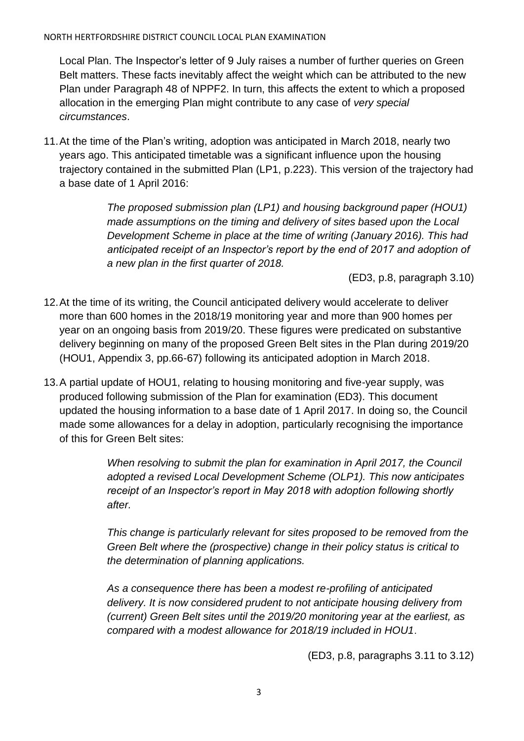Local Plan. The Inspector's letter of 9 July raises a number of further queries on Green Belt matters. These facts inevitably affect the weight which can be attributed to the new Plan under Paragraph 48 of NPPF2. In turn, this affects the extent to which a proposed allocation in the emerging Plan might contribute to any case of *very special circumstances*.

11.At the time of the Plan's writing, adoption was anticipated in March 2018, nearly two years ago. This anticipated timetable was a significant influence upon the housing trajectory contained in the submitted Plan (LP1, p.223). This version of the trajectory had a base date of 1 April 2016:

> *The proposed submission plan (LP1) and housing background paper (HOU1) made assumptions on the timing and delivery of sites based upon the Local Development Scheme in place at the time of writing (January 2016). This had anticipated receipt of an Inspector's report by the end of 2017 and adoption of a new plan in the first quarter of 2018.*

> > (ED3, p.8, paragraph 3.10)

- 12.At the time of its writing, the Council anticipated delivery would accelerate to deliver more than 600 homes in the 2018/19 monitoring year and more than 900 homes per year on an ongoing basis from 2019/20. These figures were predicated on substantive delivery beginning on many of the proposed Green Belt sites in the Plan during 2019/20 (HOU1, Appendix 3, pp.66-67) following its anticipated adoption in March 2018.
- 13.A partial update of HOU1, relating to housing monitoring and five-year supply, was produced following submission of the Plan for examination (ED3). This document updated the housing information to a base date of 1 April 2017. In doing so, the Council made some allowances for a delay in adoption, particularly recognising the importance of this for Green Belt sites:

When resolving to submit the plan for examination in April 2017, the Council *adopted a revised Local Development Scheme (OLP1). This now anticipates receipt of an Inspector's report in May 2018 with adoption following shortly after.*

*This change is particularly relevant for sites proposed to be removed from the Green Belt where the (prospective) change in their policy status is critical to the determination of planning applications.*

*As a consequence there has been a modest re-profiling of anticipated delivery. It is now considered prudent to not anticipate housing delivery from (current) Green Belt sites until the 2019/20 monitoring year at the earliest, as compared with a modest allowance for 2018/19 included in HOU1*.

(ED3, p.8, paragraphs 3.11 to 3.12)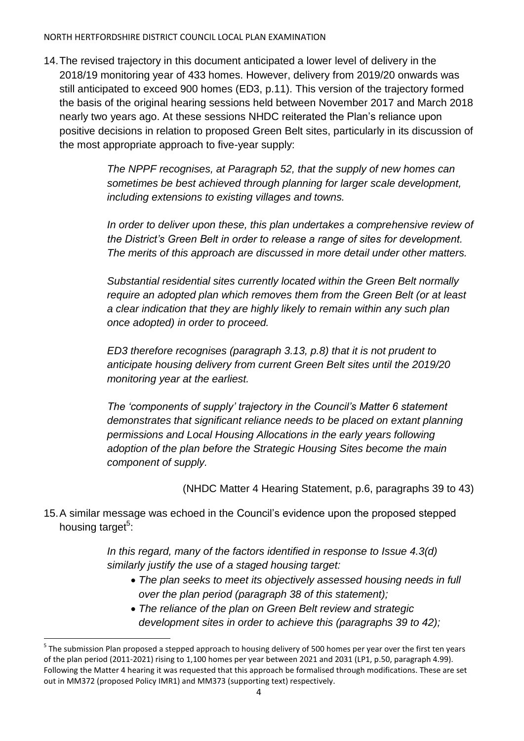14.The revised trajectory in this document anticipated a lower level of delivery in the 2018/19 monitoring year of 433 homes. However, delivery from 2019/20 onwards was still anticipated to exceed 900 homes (ED3, p.11). This version of the trajectory formed the basis of the original hearing sessions held between November 2017 and March 2018 nearly two years ago. At these sessions NHDC reiterated the Plan's reliance upon positive decisions in relation to proposed Green Belt sites, particularly in its discussion of the most appropriate approach to five-year supply:

> *The NPPF recognises, at Paragraph 52, that the supply of new homes can sometimes be best achieved through planning for larger scale development, including extensions to existing villages and towns.*

*In order to deliver upon these, this plan undertakes a comprehensive review of the District's Green Belt in order to release a range of sites for development. The merits of this approach are discussed in more detail under other matters.*

*Substantial residential sites currently located within the Green Belt normally require an adopted plan which removes them from the Green Belt (or at least a clear indication that they are highly likely to remain within any such plan once adopted) in order to proceed.* 

*ED3 therefore recognises (paragraph 3.13, p.8) that it is not prudent to anticipate housing delivery from current Green Belt sites until the 2019/20 monitoring year at the earliest.* 

*The 'components of supply' trajectory in the Council's Matter 6 statement demonstrates that significant reliance needs to be placed on extant planning permissions and Local Housing Allocations in the early years following adoption of the plan before the Strategic Housing Sites become the main component of supply.* 

(NHDC Matter 4 Hearing Statement, p.6, paragraphs 39 to 43)

15.A similar message was echoed in the Council's evidence upon the proposed stepped housing target<sup>5</sup>:

> *In this regard, many of the factors identified in response to Issue 4.3(d) similarly justify the use of a staged housing target:*

- *The plan seeks to meet its objectively assessed housing needs in full over the plan period (paragraph 38 of this statement);*
- *The reliance of the plan on Green Belt review and strategic development sites in order to achieve this (paragraphs 39 to 42);*

 $\overline{a}$ 

<sup>&</sup>lt;sup>5</sup> The submission Plan proposed a stepped approach to housing delivery of 500 homes per year over the first ten years of the plan period (2011-2021) rising to 1,100 homes per year between 2021 and 2031 (LP1, p.50, paragraph 4.99). Following the Matter 4 hearing it was requested that this approach be formalised through modifications. These are set out in MM372 (proposed Policy IMR1) and MM373 (supporting text) respectively.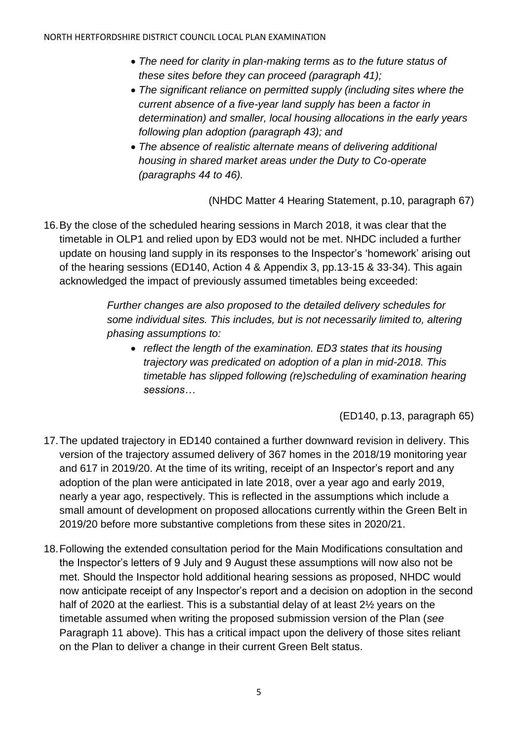- *The need for clarity in plan-making terms as to the future status of these sites before they can proceed (paragraph 41);*
- *The significant reliance on permitted supply (including sites where the current absence of a five-year land supply has been a factor in determination) and smaller, local housing allocations in the early years following plan adoption (paragraph 43); and*
- *The absence of realistic alternate means of delivering additional housing in shared market areas under the Duty to Co-operate (paragraphs 44 to 46).*

(NHDC Matter 4 Hearing Statement, p.10, paragraph 67)

16.By the close of the scheduled hearing sessions in March 2018, it was clear that the timetable in OLP1 and relied upon by ED3 would not be met. NHDC included a further update on housing land supply in its responses to the Inspector's 'homework' arising out of the hearing sessions (ED140, Action 4 & Appendix 3, pp.13-15 & 33-34). This again acknowledged the impact of previously assumed timetables being exceeded:

> *Further changes are also proposed to the detailed delivery schedules for some individual sites. This includes, but is not necessarily limited to, altering phasing assumptions to:*

 *reflect the length of the examination. ED3 states that its housing trajectory was predicated on adoption of a plan in mid-2018. This timetable has slipped following (re)scheduling of examination hearing sessions…*

(ED140, p.13, paragraph 65)

- 17.The updated trajectory in ED140 contained a further downward revision in delivery. This version of the trajectory assumed delivery of 367 homes in the 2018/19 monitoring year and 617 in 2019/20. At the time of its writing, receipt of an Inspector's report and any adoption of the plan were anticipated in late 2018, over a year ago and early 2019, nearly a year ago, respectively. This is reflected in the assumptions which include a small amount of development on proposed allocations currently within the Green Belt in 2019/20 before more substantive completions from these sites in 2020/21.
- 18.Following the extended consultation period for the Main Modifications consultation and the Inspector's letters of 9 July and 9 August these assumptions will now also not be met. Should the Inspector hold additional hearing sessions as proposed, NHDC would now anticipate receipt of any Inspector's report and a decision on adoption in the second half of 2020 at the earliest. This is a substantial delay of at least 2½ years on the timetable assumed when writing the proposed submission version of the Plan (*see*  Paragraph 11 above). This has a critical impact upon the delivery of those sites reliant on the Plan to deliver a change in their current Green Belt status.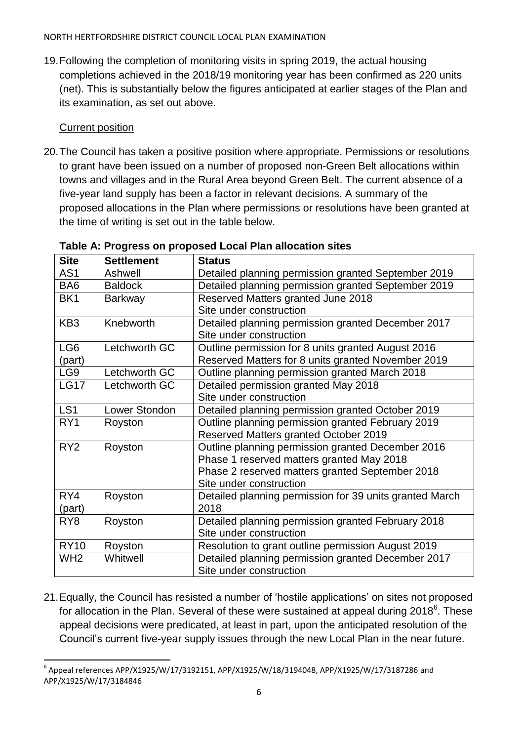19.Following the completion of monitoring visits in spring 2019, the actual housing completions achieved in the 2018/19 monitoring year has been confirmed as 220 units (net). This is substantially below the figures anticipated at earlier stages of the Plan and its examination, as set out above.

## **Current position**

20.The Council has taken a positive position where appropriate. Permissions or resolutions to grant have been issued on a number of proposed non-Green Belt allocations within towns and villages and in the Rural Area beyond Green Belt. The current absence of a five-year land supply has been a factor in relevant decisions. A summary of the proposed allocations in the Plan where permissions or resolutions have been granted at the time of writing is set out in the table below.

| <b>Site</b>     | <b>Settlement</b> | <b>Status</b>                                           |
|-----------------|-------------------|---------------------------------------------------------|
| AS1             | Ashwell           | Detailed planning permission granted September 2019     |
| BA <sub>6</sub> | <b>Baldock</b>    | Detailed planning permission granted September 2019     |
| BK <sub>1</sub> | Barkway           | Reserved Matters granted June 2018                      |
|                 |                   | Site under construction                                 |
| KB <sub>3</sub> | Knebworth         | Detailed planning permission granted December 2017      |
|                 |                   | Site under construction                                 |
| LG <sub>6</sub> | Letchworth GC     | Outline permission for 8 units granted August 2016      |
| (part)          |                   | Reserved Matters for 8 units granted November 2019      |
| LG <sub>9</sub> | Letchworth GC     | Outline planning permission granted March 2018          |
| <b>LG17</b>     | Letchworth GC     | Detailed permission granted May 2018                    |
|                 |                   | Site under construction                                 |
| LS <sub>1</sub> | Lower Stondon     | Detailed planning permission granted October 2019       |
| RY1             | Royston           | Outline planning permission granted February 2019       |
|                 |                   | Reserved Matters granted October 2019                   |
| RY <sub>2</sub> | Royston           | Outline planning permission granted December 2016       |
|                 |                   | Phase 1 reserved matters granted May 2018               |
|                 |                   | Phase 2 reserved matters granted September 2018         |
|                 |                   | Site under construction                                 |
| RY4             | Royston           | Detailed planning permission for 39 units granted March |
| (part)          |                   | 2018                                                    |
| RY <sub>8</sub> | Royston           | Detailed planning permission granted February 2018      |
|                 |                   | Site under construction                                 |
| <b>RY10</b>     | Royston           | Resolution to grant outline permission August 2019      |
| WH <sub>2</sub> | Whitwell          | Detailed planning permission granted December 2017      |
|                 |                   | Site under construction                                 |

## **Table A: Progress on proposed Local Plan allocation sites**

21.Equally, the Council has resisted a number of 'hostile applications' on sites not proposed for allocation in the Plan. Several of these were sustained at appeal during 2018 $^6$ . These appeal decisions were predicated, at least in part, upon the anticipated resolution of the Council's current five-year supply issues through the new Local Plan in the near future.

 $\ddot{\phantom{a}}$  $^6$  Appeal references APP/X1925/W/17/3192151, APP/X1925/W/18/3194048, APP/X1925/W/17/3187286 and APP/X1925/W/17/3184846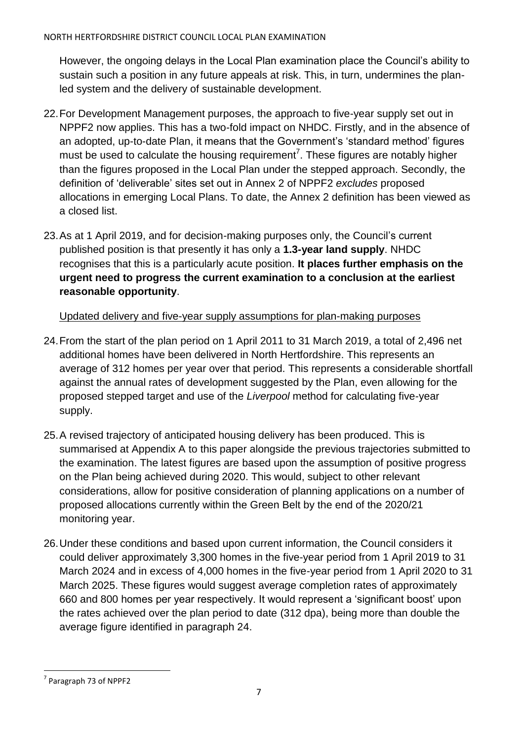However, the ongoing delays in the Local Plan examination place the Council's ability to sustain such a position in any future appeals at risk. This, in turn, undermines the planled system and the delivery of sustainable development.

- 22.For Development Management purposes, the approach to five-year supply set out in NPPF2 now applies. This has a two-fold impact on NHDC. Firstly, and in the absence of an adopted, up-to-date Plan, it means that the Government's 'standard method' figures must be used to calculate the housing requirement<sup>7</sup>. These figures are notably higher than the figures proposed in the Local Plan under the stepped approach. Secondly, the definition of 'deliverable' sites set out in Annex 2 of NPPF2 *excludes* proposed allocations in emerging Local Plans. To date, the Annex 2 definition has been viewed as a closed list.
- 23.As at 1 April 2019, and for decision-making purposes only, the Council's current published position is that presently it has only a **1.3-year land supply**. NHDC recognises that this is a particularly acute position. **It places further emphasis on the urgent need to progress the current examination to a conclusion at the earliest reasonable opportunity**.

Updated delivery and five-year supply assumptions for plan-making purposes

- 24.From the start of the plan period on 1 April 2011 to 31 March 2019, a total of 2,496 net additional homes have been delivered in North Hertfordshire. This represents an average of 312 homes per year over that period. This represents a considerable shortfall against the annual rates of development suggested by the Plan, even allowing for the proposed stepped target and use of the *Liverpool* method for calculating five-year supply.
- 25.A revised trajectory of anticipated housing delivery has been produced. This is summarised at Appendix A to this paper alongside the previous trajectories submitted to the examination. The latest figures are based upon the assumption of positive progress on the Plan being achieved during 2020. This would, subject to other relevant considerations, allow for positive consideration of planning applications on a number of proposed allocations currently within the Green Belt by the end of the 2020/21 monitoring year.
- 26.Under these conditions and based upon current information, the Council considers it could deliver approximately 3,300 homes in the five-year period from 1 April 2019 to 31 March 2024 and in excess of 4,000 homes in the five-year period from 1 April 2020 to 31 March 2025. These figures would suggest average completion rates of approximately 660 and 800 homes per year respectively. It would represent a 'significant boost' upon the rates achieved over the plan period to date (312 dpa), being more than double the average figure identified in paragraph 24.

 $\overline{a}$ <sup>7</sup> Paragraph 73 of NPPF2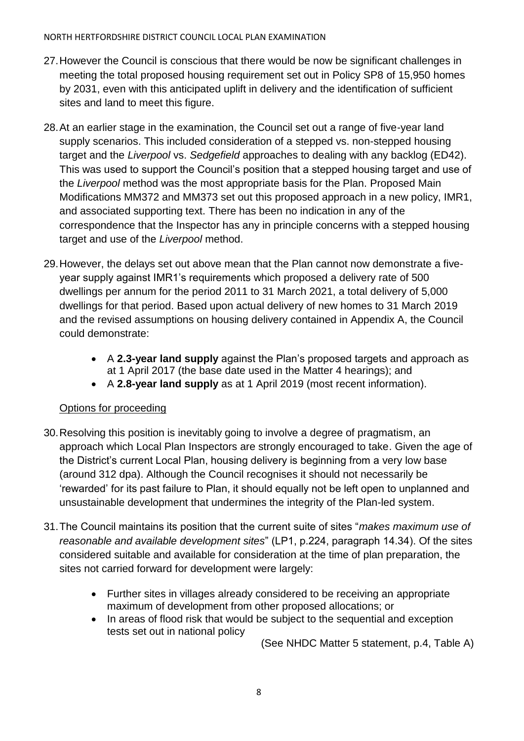- 27.However the Council is conscious that there would be now be significant challenges in meeting the total proposed housing requirement set out in Policy SP8 of 15,950 homes by 2031, even with this anticipated uplift in delivery and the identification of sufficient sites and land to meet this figure.
- 28.At an earlier stage in the examination, the Council set out a range of five-year land supply scenarios. This included consideration of a stepped vs. non-stepped housing target and the *Liverpool* vs. *Sedgefield* approaches to dealing with any backlog (ED42). This was used to support the Council's position that a stepped housing target and use of the *Liverpool* method was the most appropriate basis for the Plan. Proposed Main Modifications MM372 and MM373 set out this proposed approach in a new policy, IMR1, and associated supporting text. There has been no indication in any of the correspondence that the Inspector has any in principle concerns with a stepped housing target and use of the *Liverpool* method.
- 29.However, the delays set out above mean that the Plan cannot now demonstrate a fiveyear supply against IMR1's requirements which proposed a delivery rate of 500 dwellings per annum for the period 2011 to 31 March 2021, a total delivery of 5,000 dwellings for that period. Based upon actual delivery of new homes to 31 March 2019 and the revised assumptions on housing delivery contained in Appendix A, the Council could demonstrate:
	- A **2.3-year land supply** against the Plan's proposed targets and approach as at 1 April 2017 (the base date used in the Matter 4 hearings); and
	- A **2.8-year land supply** as at 1 April 2019 (most recent information).

## Options for proceeding

- 30.Resolving this position is inevitably going to involve a degree of pragmatism, an approach which Local Plan Inspectors are strongly encouraged to take. Given the age of the District's current Local Plan, housing delivery is beginning from a very low base (around 312 dpa). Although the Council recognises it should not necessarily be 'rewarded' for its past failure to Plan, it should equally not be left open to unplanned and unsustainable development that undermines the integrity of the Plan-led system.
- 31.The Council maintains its position that the current suite of sites "*makes maximum use of reasonable and available development sites*" (LP1, p.224, paragraph 14.34). Of the sites considered suitable and available for consideration at the time of plan preparation, the sites not carried forward for development were largely:
	- Further sites in villages already considered to be receiving an appropriate maximum of development from other proposed allocations; or
	- In areas of flood risk that would be subject to the sequential and exception tests set out in national policy

(See NHDC Matter 5 statement, p.4, Table A)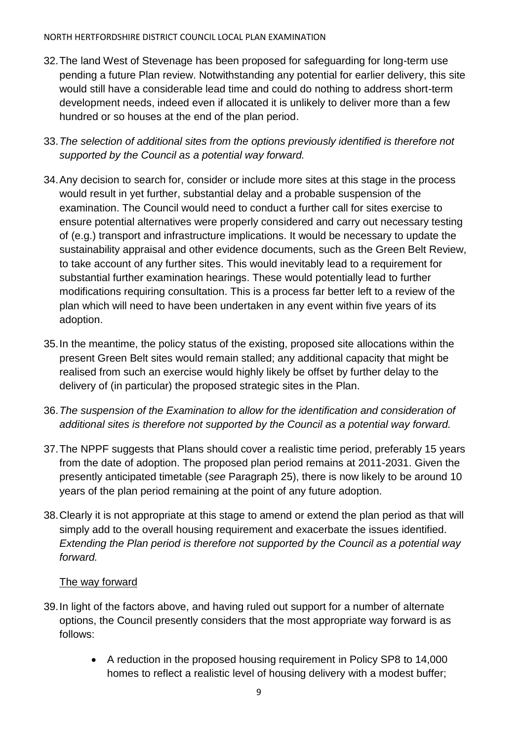- 32.The land West of Stevenage has been proposed for safeguarding for long-term use pending a future Plan review. Notwithstanding any potential for earlier delivery, this site would still have a considerable lead time and could do nothing to address short-term development needs, indeed even if allocated it is unlikely to deliver more than a few hundred or so houses at the end of the plan period.
- 33.*The selection of additional sites from the options previously identified is therefore not supported by the Council as a potential way forward.*
- 34.Any decision to search for, consider or include more sites at this stage in the process would result in yet further, substantial delay and a probable suspension of the examination. The Council would need to conduct a further call for sites exercise to ensure potential alternatives were properly considered and carry out necessary testing of (e.g.) transport and infrastructure implications. It would be necessary to update the sustainability appraisal and other evidence documents, such as the Green Belt Review, to take account of any further sites. This would inevitably lead to a requirement for substantial further examination hearings. These would potentially lead to further modifications requiring consultation. This is a process far better left to a review of the plan which will need to have been undertaken in any event within five years of its adoption.
- 35.In the meantime, the policy status of the existing, proposed site allocations within the present Green Belt sites would remain stalled; any additional capacity that might be realised from such an exercise would highly likely be offset by further delay to the delivery of (in particular) the proposed strategic sites in the Plan.
- 36.*The suspension of the Examination to allow for the identification and consideration of additional sites is therefore not supported by the Council as a potential way forward.*
- 37.The NPPF suggests that Plans should cover a realistic time period, preferably 15 years from the date of adoption. The proposed plan period remains at 2011-2031. Given the presently anticipated timetable (*see* Paragraph 25), there is now likely to be around 10 years of the plan period remaining at the point of any future adoption.
- 38.Clearly it is not appropriate at this stage to amend or extend the plan period as that will simply add to the overall housing requirement and exacerbate the issues identified. *Extending the Plan period is therefore not supported by the Council as a potential way forward.*

# The way forward

- 39.In light of the factors above, and having ruled out support for a number of alternate options, the Council presently considers that the most appropriate way forward is as follows:
	- A reduction in the proposed housing requirement in Policy SP8 to 14,000 homes to reflect a realistic level of housing delivery with a modest buffer;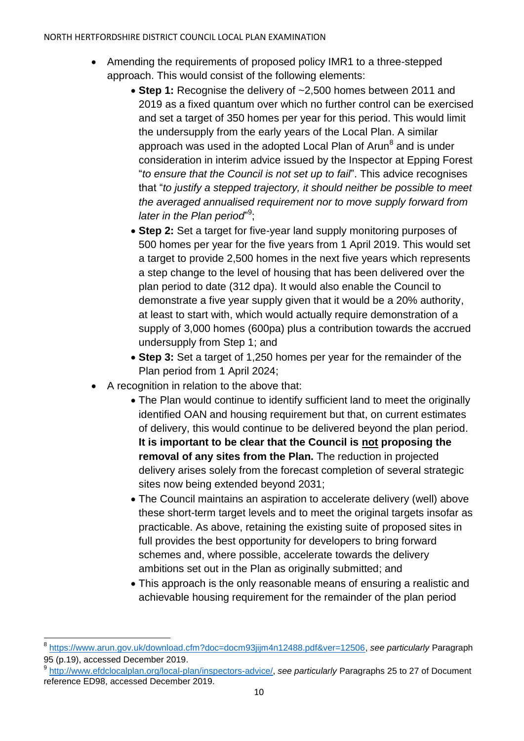- Amending the requirements of proposed policy IMR1 to a three-stepped approach. This would consist of the following elements:
	- **Step 1:** Recognise the delivery of ~2,500 homes between 2011 and 2019 as a fixed quantum over which no further control can be exercised and set a target of 350 homes per year for this period. This would limit the undersupply from the early years of the Local Plan. A similar approach was used in the adopted Local Plan of Arun<sup>8</sup> and is under consideration in interim advice issued by the Inspector at Epping Forest "*to ensure that the Council is not set up to fail*". This advice recognises that "*to justify a stepped trajectory, it should neither be possible to meet the averaged annualised requirement nor to move supply forward from*  later in the Plan period"<sup>9</sup>;
	- **Step 2:** Set a target for five-year land supply monitoring purposes of 500 homes per year for the five years from 1 April 2019. This would set a target to provide 2,500 homes in the next five years which represents a step change to the level of housing that has been delivered over the plan period to date (312 dpa). It would also enable the Council to demonstrate a five year supply given that it would be a 20% authority, at least to start with, which would actually require demonstration of a supply of 3,000 homes (600pa) plus a contribution towards the accrued undersupply from Step 1; and
	- **Step 3:** Set a target of 1,250 homes per year for the remainder of the Plan period from 1 April 2024;
- A recognition in relation to the above that:

 $\overline{\phantom{a}}$ 

- The Plan would continue to identify sufficient land to meet the originally identified OAN and housing requirement but that, on current estimates of delivery, this would continue to be delivered beyond the plan period. **It is important to be clear that the Council is not proposing the removal of any sites from the Plan.** The reduction in projected delivery arises solely from the forecast completion of several strategic sites now being extended beyond 2031;
- The Council maintains an aspiration to accelerate delivery (well) above these short-term target levels and to meet the original targets insofar as practicable. As above, retaining the existing suite of proposed sites in full provides the best opportunity for developers to bring forward schemes and, where possible, accelerate towards the delivery ambitions set out in the Plan as originally submitted; and
- This approach is the only reasonable means of ensuring a realistic and achievable housing requirement for the remainder of the plan period

<sup>8</sup> [https://www.arun.gov.uk/download.cfm?doc=docm93jijm4n12488.pdf&ver=12506,](https://www.arun.gov.uk/download.cfm?doc=docm93jijm4n12488.pdf&ver=12506) *see particularly* Paragraph 95 (p.19), accessed December 2019.

<sup>9</sup> [http://www.efdclocalplan.org/local-plan/inspectors-advice/,](http://www.efdclocalplan.org/local-plan/inspectors-advice/) *see particularly* Paragraphs 25 to 27 of Document reference ED98, accessed December 2019.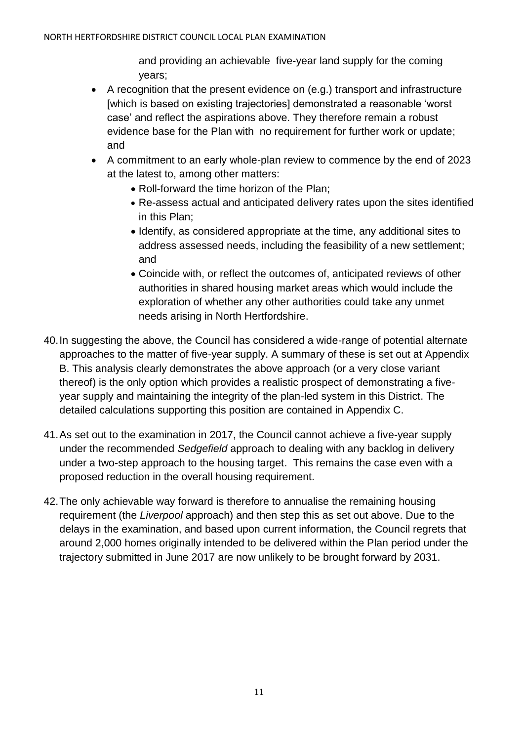and providing an achievable five-year land supply for the coming years;

- A recognition that the present evidence on (e.g.) transport and infrastructure [which is based on existing trajectories] demonstrated a reasonable 'worst case' and reflect the aspirations above. They therefore remain a robust evidence base for the Plan with no requirement for further work or update; and
- A commitment to an early whole-plan review to commence by the end of 2023 at the latest to, among other matters:
	- Roll-forward the time horizon of the Plan:
	- Re-assess actual and anticipated delivery rates upon the sites identified in this Plan;
	- Identify, as considered appropriate at the time, any additional sites to address assessed needs, including the feasibility of a new settlement; and
	- Coincide with, or reflect the outcomes of, anticipated reviews of other authorities in shared housing market areas which would include the exploration of whether any other authorities could take any unmet needs arising in North Hertfordshire.
- 40.In suggesting the above, the Council has considered a wide-range of potential alternate approaches to the matter of five-year supply. A summary of these is set out at Appendix B. This analysis clearly demonstrates the above approach (or a very close variant thereof) is the only option which provides a realistic prospect of demonstrating a fiveyear supply and maintaining the integrity of the plan-led system in this District. The detailed calculations supporting this position are contained in Appendix C.
- 41.As set out to the examination in 2017, the Council cannot achieve a five-year supply under the recommended *Sedgefield* approach to dealing with any backlog in delivery under a two-step approach to the housing target. This remains the case even with a proposed reduction in the overall housing requirement.
- 42.The only achievable way forward is therefore to annualise the remaining housing requirement (the *Liverpool* approach) and then step this as set out above. Due to the delays in the examination, and based upon current information, the Council regrets that around 2,000 homes originally intended to be delivered within the Plan period under the trajectory submitted in June 2017 are now unlikely to be brought forward by 2031.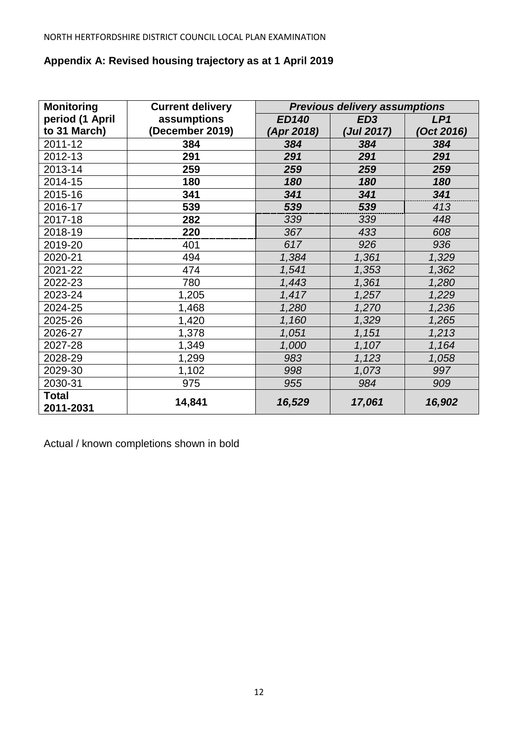## **Appendix A: Revised housing trajectory as at 1 April 2019**

| <b>Monitoring</b><br><b>Current delivery</b><br><b>Previous delivery assumptions</b> |                 |              |                 |           |
|--------------------------------------------------------------------------------------|-----------------|--------------|-----------------|-----------|
| period (1 April                                                                      | assumptions     | <b>ED140</b> | ED <sub>3</sub> | LP1       |
| to 31 March)                                                                         | (December 2019) | (Apr 2018)   | (Jul 2017)      | Oct 2016) |
| 2011-12                                                                              | 384             | 384          | 384             | 384       |
| 2012-13                                                                              | 291             | 291          | 291             | 291       |
| 2013-14                                                                              | 259             | 259          | 259             | 259       |
| 2014-15                                                                              | 180             | 180          | 180             | 180       |
| 2015-16                                                                              | 341             | 341          | 341             | 341       |
| 2016-17                                                                              | 539             | 539          | 539             | 413       |
| 2017-18                                                                              | 282             | 339          | 339             | 448       |
| 2018-19                                                                              | 220             | 367          | 433             | 608       |
| 2019-20                                                                              | 401             | 617          | 926             | 936       |
| 2020-21                                                                              | 494             | 1,384        | 1,361           | 1,329     |
| 2021-22                                                                              | 474             | 1,541        | 1,353           | 1,362     |
| 2022-23                                                                              | 780             | 1,443        | 1,361           | 1,280     |
| 2023-24                                                                              | 1,205           | 1,417        | 1,257           | 1,229     |
| 2024-25                                                                              | 1,468           | 1,280        | 1,270           | 1,236     |
| 2025-26                                                                              | 1,420           | 1,160        | 1,329           | 1,265     |
| 2026-27                                                                              | 1,378           | 1,051        | 1,151           | 1,213     |
| 2027-28                                                                              | 1,349           | 1,000        | 1,107           | 1,164     |
| 2028-29                                                                              | 1,299           | 983          | 1,123           | 1,058     |
| 2029-30                                                                              | 1,102           | 998          | 1,073           | 997       |
| 2030-31                                                                              | 975             | 955          | 984             | 909       |
| <b>Total</b><br>2011-2031                                                            | 14,841          | 16,529       | 17,061          | 16,902    |

Actual / known completions shown in bold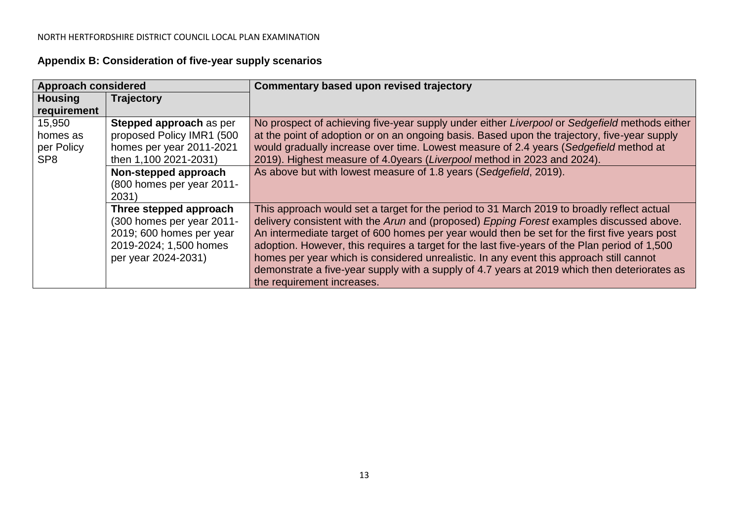| Appendix B: Consideration of five-year supply scenarios |  |  |  |  |  |
|---------------------------------------------------------|--|--|--|--|--|
|---------------------------------------------------------|--|--|--|--|--|

| <b>Approach considered</b> |                           | Commentary based upon revised trajectory                                                      |
|----------------------------|---------------------------|-----------------------------------------------------------------------------------------------|
| <b>Housing</b>             | Trajectory                |                                                                                               |
| requirement                |                           |                                                                                               |
| 15,950                     | Stepped approach as per   | No prospect of achieving five-year supply under either Liverpool or Sedgefield methods either |
| homes as                   | proposed Policy IMR1 (500 | at the point of adoption or on an ongoing basis. Based upon the trajectory, five-year supply  |
| per Policy                 | homes per year 2011-2021  | would gradually increase over time. Lowest measure of 2.4 years (Sedgefield method at         |
| SP <sub>8</sub>            | then 1,100 2021-2031)     | 2019). Highest measure of 4.0years (Liverpool method in 2023 and 2024).                       |
|                            | Non-stepped approach      | As above but with lowest measure of 1.8 years (Sedgefield, 2019).                             |
|                            | (800 homes per year 2011- |                                                                                               |
|                            | 2031)                     |                                                                                               |
|                            | Three stepped approach    | This approach would set a target for the period to 31 March 2019 to broadly reflect actual    |
|                            | (300 homes per year 2011- | delivery consistent with the Arun and (proposed) Epping Forest examples discussed above.      |
|                            | 2019; 600 homes per year  | An intermediate target of 600 homes per year would then be set for the first five years post  |
|                            | 2019-2024; 1,500 homes    | adoption. However, this requires a target for the last five-years of the Plan period of 1,500 |
|                            | per year 2024-2031)       | homes per year which is considered unrealistic. In any event this approach still cannot       |
|                            |                           | demonstrate a five-year supply with a supply of 4.7 years at 2019 which then deteriorates as  |
|                            |                           | the requirement increases.                                                                    |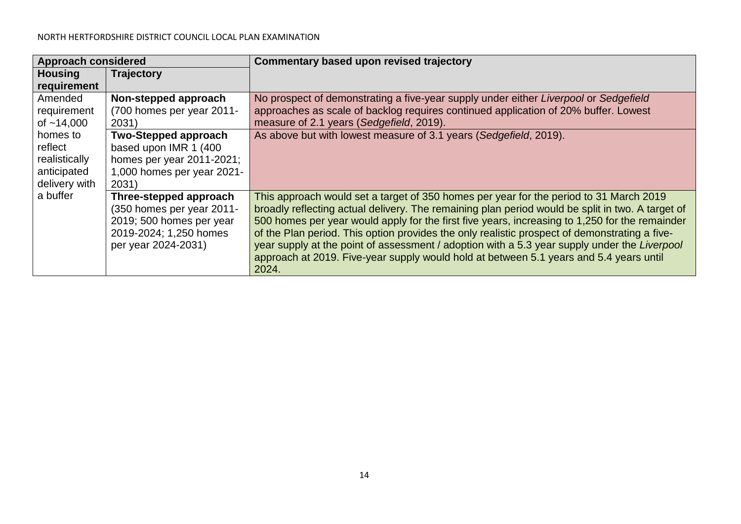| <b>Approach considered</b>                                           |                                                                                                                                  | Commentary based upon revised trajectory                                                                                                                                                                                                                                                                                                                                                                                                                                                                                                                                                         |
|----------------------------------------------------------------------|----------------------------------------------------------------------------------------------------------------------------------|--------------------------------------------------------------------------------------------------------------------------------------------------------------------------------------------------------------------------------------------------------------------------------------------------------------------------------------------------------------------------------------------------------------------------------------------------------------------------------------------------------------------------------------------------------------------------------------------------|
| <b>Housing</b><br>requirement                                        | Trajectory                                                                                                                       |                                                                                                                                                                                                                                                                                                                                                                                                                                                                                                                                                                                                  |
| Amended<br>requirement<br>of $~14,000$                               | Non-stepped approach<br>(700 homes per year 2011-<br>2031)                                                                       | No prospect of demonstrating a five-year supply under either Liverpool or Sedgefield<br>approaches as scale of backlog requires continued application of 20% buffer. Lowest<br>measure of 2.1 years (Sedgefield, 2019).                                                                                                                                                                                                                                                                                                                                                                          |
| homes to<br>reflect<br>realistically<br>anticipated<br>delivery with | <b>Two-Stepped approach</b><br>based upon IMR 1 (400<br>homes per year $2011 - 2021$ ;<br>1,000 homes per year 2021-<br>2031)    | As above but with lowest measure of 3.1 years (Sedgefield, 2019).                                                                                                                                                                                                                                                                                                                                                                                                                                                                                                                                |
| a buffer                                                             | Three-stepped approach<br>(350 homes per year 2011-<br>2019; 500 homes per year<br>2019-2024; 1,250 homes<br>per year 2024-2031) | This approach would set a target of 350 homes per year for the period to 31 March 2019<br>broadly reflecting actual delivery. The remaining plan period would be split in two. A target of<br>500 homes per year would apply for the first five years, increasing to 1,250 for the remainder<br>of the Plan period. This option provides the only realistic prospect of demonstrating a five-<br>year supply at the point of assessment / adoption with a 5.3 year supply under the Liverpool<br>approach at 2019. Five-year supply would hold at between 5.1 years and 5.4 years until<br>2024. |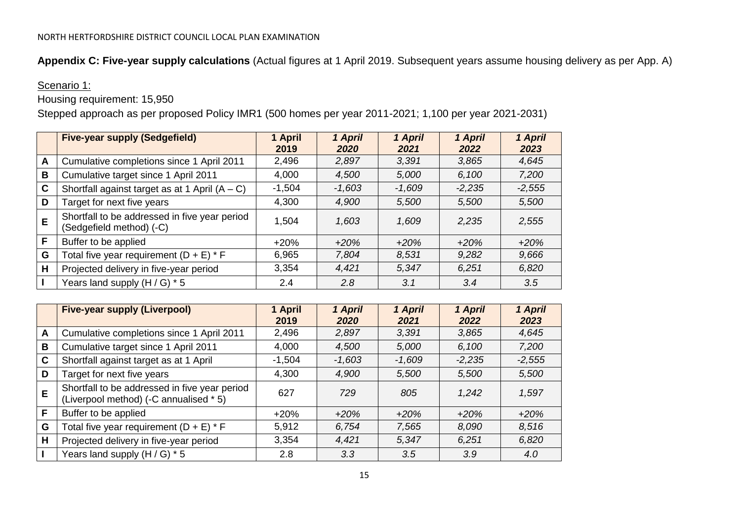**Appendix C: Five-year supply calculations** (Actual figures at 1 April 2019. Subsequent years assume housing delivery as per App. A)

## Scenario 1:

Housing requirement: 15,950

Stepped approach as per proposed Policy IMR1 (500 homes per year 2011-2021; 1,100 per year 2021-2031)

|   | <b>Five-year supply (Sedgefield)</b>                                      | 1 April<br>2019 | 1 April<br>2020 | 1 April<br>2021 | 1 April<br>2022 | 1 April<br>2023 |
|---|---------------------------------------------------------------------------|-----------------|-----------------|-----------------|-----------------|-----------------|
| A | Cumulative completions since 1 April 2011                                 | 2,496           | 2,897           | 3.391           | 3,865           | 4,645           |
| B | Cumulative target since 1 April 2011                                      | 4,000           | 4,500           | 5,000           | 6,100           | 7,200           |
| C | Shortfall against target as at 1 April $(A - C)$                          | $-1,504$        | $-1,603$        | -1.609          | $-2,235$        | $-2,555$        |
| D | Target for next five years                                                | 4,300           | 4,900           | 5,500           | 5,500           | 5,500           |
| E | Shortfall to be addressed in five year period<br>(Sedgefield method) (-C) | 1,504           | 1,603           | 1,609           | 2.235           | 2,555           |
| F | Buffer to be applied                                                      | $+20%$          | $+20%$          | $+20%$          | $+20%$          | $+20%$          |
| G | Total five year requirement $(D + E) * F$                                 | 6,965           | 7,804           | 8,531           | 9,282           | 9,666           |
| Н | Projected delivery in five-year period                                    | 3,354           | 4,421           | 5.347           | 6,251           | 6,820           |
|   | Years land supply $(H/G)$ * 5                                             | 2.4             | 2.8             | 3.1             | 3.4             | 3.5             |

|             | <b>Five-year supply (Liverpool)</b>                                                     | 1 April<br>2019 | 1 April<br>2020 | 1 April<br>2021 | 1 April<br>2022 | 1 April<br>2023 |
|-------------|-----------------------------------------------------------------------------------------|-----------------|-----------------|-----------------|-----------------|-----------------|
| A           | Cumulative completions since 1 April 2011                                               | 2,496           | 2,897           | 3,391           | 3,865           | 4,645           |
| B           | Cumulative target since 1 April 2011                                                    | 4,000           | 4,500           | 5,000           | 6,100           | 7,200           |
| $\mathbf C$ | Shortfall against target as at 1 April                                                  | $-1,504$        | $-1,603$        | $-1.609$        | $-2,235$        | $-2,555$        |
| D           | Target for next five years                                                              | 4,300           | 4,900           | 5,500           | 5,500           | 5,500           |
| E           | Shortfall to be addressed in five year period<br>(Liverpool method) (-C annualised * 5) | 627             | 729             | 805             | 1,242           | 1,597           |
| F           | Buffer to be applied                                                                    | $+20%$          | $+20%$          | $+20%$          | $+20%$          | $+20%$          |
| G           | Total five year requirement $(D + E) * F$                                               | 5,912           | 6,754           | 7,565           | 8,090           | 8,516           |
| H           | Projected delivery in five-year period                                                  | 3,354           | 4,421           | 5.347           | 6.251           | 6,820           |
|             | Years land supply $(H/G) * 5$                                                           | 2.8             | 3.3             | 3.5             | 3.9             | 4.0             |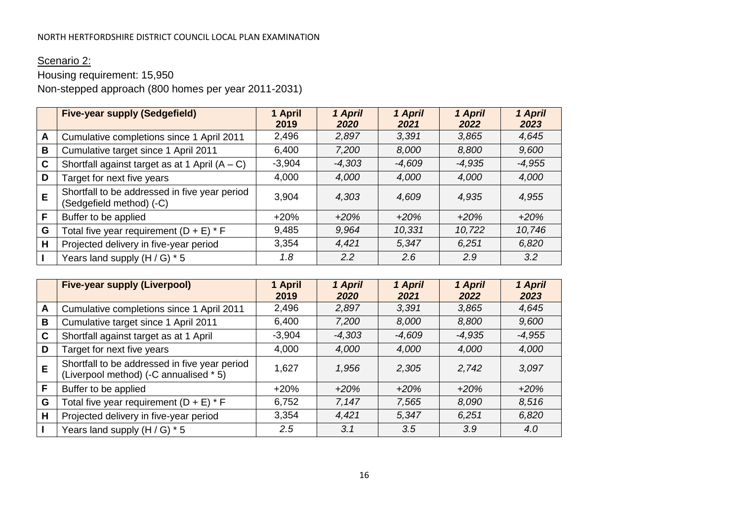# Scenario 2:

# Housing requirement: 15,950

Non-stepped approach (800 homes per year 2011-2031)

|   | <b>Five-year supply (Sedgefield)</b>                                      | 1 April<br>2019 | 1 April<br>2020 | 1 April<br>2021 | 1 April<br>2022 | 1 April<br>2023 |
|---|---------------------------------------------------------------------------|-----------------|-----------------|-----------------|-----------------|-----------------|
| A | Cumulative completions since 1 April 2011                                 | 2,496           | 2,897           | 3,391           | 3,865           | 4,645           |
| B | Cumulative target since 1 April 2011                                      | 6,400           | 7,200           | 8,000           | 8,800           | 9,600           |
| C | Shortfall against target as at 1 April $(A - C)$                          | $-3,904$        | $-4,303$        | $-4,609$        | $-4,935$        | $-4,955$        |
| D | Target for next five years                                                | 4,000           | 4,000           | 4,000           | 4,000           | 4,000           |
| E | Shortfall to be addressed in five year period<br>(Sedgefield method) (-C) | 3,904           | 4,303           | 4,609           | 4,935           | 4,955           |
| F | Buffer to be applied                                                      | $+20%$          | $+20%$          | $+20%$          | $+20%$          | $+20%$          |
| G | Total five year requirement $(D + E) * F$                                 | 9,485           | 9.964           | 10.331          | 10,722          | 10,746          |
| Н | Projected delivery in five-year period                                    | 3,354           | 4,421           | 5.347           | 6.251           | 6,820           |
|   | Years land supply $(H/G) * 5$                                             | 1.8             | 2.2             | $2.6^{\circ}$   | 2.9             | 3.2             |

|   | <b>Five-year supply (Liverpool)</b>                                                     | 1 April<br>2019 | 1 April<br>2020 | 1 April<br>2021 | 1 April<br>2022 | 1 April<br>2023 |
|---|-----------------------------------------------------------------------------------------|-----------------|-----------------|-----------------|-----------------|-----------------|
| A | Cumulative completions since 1 April 2011                                               | 2,496           | 2,897           | 3,391           | 3,865           | 4,645           |
| B | Cumulative target since 1 April 2011                                                    | 6,400           | 7,200           | 8,000           | 8,800           | 9,600           |
| C | Shortfall against target as at 1 April                                                  | $-3,904$        | $-4,303$        | $-4,609$        | $-4,935$        | $-4,955$        |
| D | Target for next five years                                                              | 4,000           | 4,000           | 4,000           | 4,000           | 4,000           |
| E | Shortfall to be addressed in five year period<br>(Liverpool method) (-C annualised * 5) | 1.627           | 1,956           | 2,305           | 2,742           | 3,097           |
| F | Buffer to be applied                                                                    | $+20%$          | $+20%$          | $+20%$          | $+20%$          | $+20%$          |
| G | Total five year requirement $(D + E) * F$                                               | 6,752           | 7,147           | 7,565           | 8,090           | 8,516           |
| H | Projected delivery in five-year period                                                  | 3,354           | 4,421           | 5,347           | 6,251           | 6,820           |
|   | Years land supply $(H/G) * 5$                                                           | 2.5             | 3.1             | 3.5             | 3.9             | 4.0             |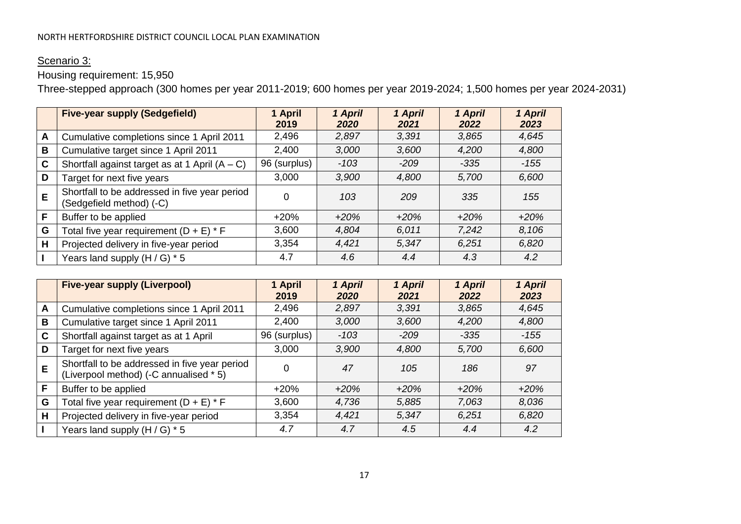## Scenario 3:

# Housing requirement: 15,950

Three-stepped approach (300 homes per year 2011-2019; 600 homes per year 2019-2024; 1,500 homes per year 2024-2031)

|   | <b>Five-year supply (Sedgefield)</b>                                      | 1 April<br>2019 | 1 April<br>2020 | 1 April<br>2021 | 1 April<br>2022 | 1 April<br>2023 |
|---|---------------------------------------------------------------------------|-----------------|-----------------|-----------------|-----------------|-----------------|
| A | Cumulative completions since 1 April 2011                                 | 2,496           | 2,897           | 3,391           | 3,865           | 4,645           |
| B | Cumulative target since 1 April 2011                                      | 2,400           | 3,000           | 3,600           | 4,200           | 4,800           |
| C | Shortfall against target as at 1 April $(A - C)$                          | 96 (surplus)    | $-103$          | $-209$          | -335            | -155            |
| D | Target for next five years                                                | 3,000           | 3,900           | 4,800           | 5,700           | 6,600           |
| E | Shortfall to be addressed in five year period<br>(Sedgefield method) (-C) | 0               | 103             | 209             | 335             | 155             |
| F | Buffer to be applied                                                      | $+20%$          | $+20%$          | $+20%$          | $+20%$          | $+20%$          |
| G | Total five year requirement $(D + E) * F$                                 | 3,600           | 4,804           | 6.011           | 7,242           | 8,106           |
| H | Projected delivery in five-year period                                    | 3,354           | 4,421           | 5,347           | 6.251           | 6,820           |
|   | Years land supply $(H/G)$ * 5                                             | 4.7             | 4.6             | 4.4             | 4.3             | 4.2             |

|   | <b>Five-year supply (Liverpool)</b>                                                     | 1 April<br>2019 | 1 April<br>2020 | 1 April<br>2021 | 1 April<br>2022 | 1 April<br>2023 |
|---|-----------------------------------------------------------------------------------------|-----------------|-----------------|-----------------|-----------------|-----------------|
| A | Cumulative completions since 1 April 2011                                               | 2,496           | 2,897           | 3.391           | 3,865           | 4,645           |
| B | Cumulative target since 1 April 2011                                                    | 2,400           | 3,000           | 3,600           | 4,200           | 4,800           |
| C | Shortfall against target as at 1 April                                                  | 96 (surplus)    | $-103$          | $-209$          | $-335$          | $-155$          |
| D | Target for next five years                                                              | 3,000           | 3,900           | 4,800           | 5,700           | 6,600           |
| E | Shortfall to be addressed in five year period<br>(Liverpool method) (-C annualised * 5) |                 | 47              | 105             | 186             | 97              |
| F | Buffer to be applied                                                                    | $+20%$          | $+20%$          | $+20%$          | $+20%$          | $+20%$          |
| G | Total five year requirement $(D + E) * F$                                               | 3,600           | 4,736           | 5,885           | 7,063           | 8,036           |
| H | Projected delivery in five-year period                                                  | 3,354           | 4,421           | 5.347           | 6,251           | 6,820           |
|   | Years land supply $(H/G) * 5$                                                           | 4.7             | 4.7             | 4.5             | 4.4             | 4.2             |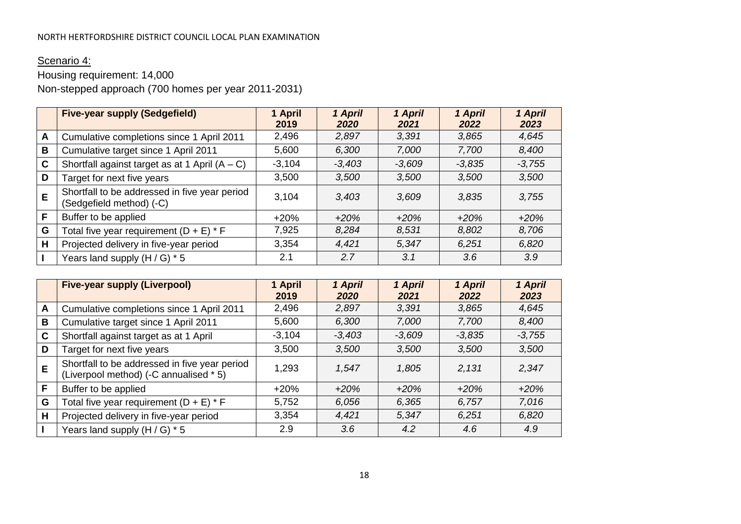# Scenario 4:

# Housing requirement: 14,000

Non-stepped approach (700 homes per year 2011-2031)

|              | <b>Five-year supply (Sedgefield)</b>                                      | 1 April<br>2019 | 1 April<br>2020 | 1 April<br>2021 | 1 April<br>2022 | 1 April<br>2023 |
|--------------|---------------------------------------------------------------------------|-----------------|-----------------|-----------------|-----------------|-----------------|
| $\mathsf{A}$ | Cumulative completions since 1 April 2011                                 | 2,496           | 2,897           | 3,391           | 3,865           | 4,645           |
| B            | Cumulative target since 1 April 2011                                      | 5,600           | 6,300           | 7,000           | 7,700           | 8,400           |
| C            | Shortfall against target as at 1 April $(A - C)$                          | $-3,104$        | $-3,403$        | $-3,609$        | $-3,835$        | $-3,755$        |
| D            | Target for next five years                                                | 3,500           | 3,500           | 3,500           | 3,500           | 3,500           |
| E            | Shortfall to be addressed in five year period<br>(Sedgefield method) (-C) | 3,104           | 3.403           | 3.609           | 3.835           | 3,755           |
| F            | Buffer to be applied                                                      | $+20%$          | $+20%$          | $+20%$          | $+20%$          | $+20%$          |
| G            | Total five year requirement $(D + E) * F$                                 | 7,925           | 8,284           | 8,531           | 8,802           | 8,706           |
| Н            | Projected delivery in five-year period                                    | 3,354           | 4,421           | 5,347           | 6,251           | 6,820           |
|              | Years land supply $(H/G) * 5$                                             | 2.1             | 2.7             | 3.1             | 3.6             | 3.9             |

|   | <b>Five-year supply (Liverpool)</b>                                                     | 1 April<br>2019 | 1 April<br>2020 | 1 April<br>2021 | 1 April<br>2022 | 1 April<br>2023 |
|---|-----------------------------------------------------------------------------------------|-----------------|-----------------|-----------------|-----------------|-----------------|
| A | Cumulative completions since 1 April 2011                                               | 2,496           | 2,897           | 3.391           | 3,865           | 4,645           |
| B | Cumulative target since 1 April 2011                                                    | 5,600           | 6,300           | 7,000           | 7,700           | 8,400           |
| C | Shortfall against target as at 1 April                                                  | $-3,104$        | $-3,403$        | $-3,609$        | $-3,835$        | $-3,755$        |
| D | Target for next five years                                                              | 3,500           | 3,500           | 3,500           | 3,500           | 3,500           |
| E | Shortfall to be addressed in five year period<br>(Liverpool method) (-C annualised * 5) | 1,293           | 1,547           | 1,805           | 2.131           | 2,347           |
| F | Buffer to be applied                                                                    | $+20%$          | $+20%$          | $+20%$          | $+20%$          | $+20%$          |
| G | Total five year requirement $(D + E) * F$                                               | 5,752           | 6,056           | 6,365           | 6,757           | 7,016           |
| H | Projected delivery in five-year period                                                  | 3,354           | 4,421           | 5.347           | 6,251           | 6,820           |
|   | Years land supply $(H/G) * 5$                                                           | 2.9             | 3.6             | 4.2             | 4.6             | 4.9             |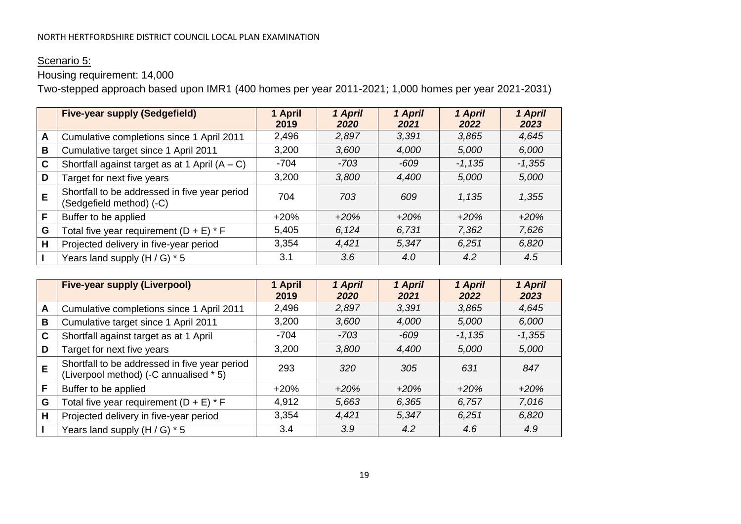## Scenario 5:

Housing requirement: 14,000

Two-stepped approach based upon IMR1 (400 homes per year 2011-2021; 1,000 homes per year 2021-2031)

|              | <b>Five-year supply (Sedgefield)</b>                                      | 1 April<br>2019 | 1 April<br>2020 | 1 April<br>2021 | 1 April<br>2022 | 1 April<br>2023 |
|--------------|---------------------------------------------------------------------------|-----------------|-----------------|-----------------|-----------------|-----------------|
| $\mathsf{A}$ | Cumulative completions since 1 April 2011                                 | 2,496           | 2,897           | 3,391           | 3,865           | 4,645           |
| B            | Cumulative target since 1 April 2011                                      | 3,200           | 3.600           | 4,000           | 5,000           | 6,000           |
| $\mathbf c$  | Shortfall against target as at 1 April $(A - C)$                          | $-704$          | -703            | $-609$          | $-1,135$        | $-1,355$        |
| D            | Target for next five years                                                | 3,200           | 3,800           | 4,400           | 5,000           | 5,000           |
| E            | Shortfall to be addressed in five year period<br>(Sedgefield method) (-C) | 704             | 703             | 609             | 1,135           | 1,355           |
| F            | Buffer to be applied                                                      | $+20%$          | $+20%$          | $+20%$          | $+20%$          | $+20%$          |
| G            | Total five year requirement $(D + E) * F$                                 | 5,405           | 6.124           | 6.731           | 7,362           | 7,626           |
| H            | Projected delivery in five-year period                                    | 3,354           | 4,421           | 5,347           | 6,251           | 6,820           |
|              | Years land supply $(H/G)$ * 5                                             | 3.1             | 3.6             | 4.0             | 4.2             | 4.5             |

|             | <b>Five-year supply (Liverpool)</b>                                                     | 1 April<br>2019 | 1 April<br>2020 | 1 April<br>2021 | 1 April<br>2022 | 1 April<br>2023 |
|-------------|-----------------------------------------------------------------------------------------|-----------------|-----------------|-----------------|-----------------|-----------------|
| A           | Cumulative completions since 1 April 2011                                               | 2,496           | 2,897           | 3,391           | 3,865           | 4,645           |
| B           | Cumulative target since 1 April 2011                                                    | 3,200           | 3,600           | 4,000           | 5,000           | 6,000           |
| $\mathbf C$ | Shortfall against target as at 1 April                                                  | $-704$          | $-703$          | $-609$          | $-1,135$        | $-1,355$        |
| D           | Target for next five years                                                              | 3,200           | 3,800           | 4,400           | 5,000           | 5,000           |
| E           | Shortfall to be addressed in five year period<br>(Liverpool method) (-C annualised * 5) | 293             | 320             | 305             | 631             | 847             |
| F           | Buffer to be applied                                                                    | $+20%$          | $+20%$          | $+20%$          | $+20%$          | $+20%$          |
| G           | Total five year requirement $(D + E) * F$                                               | 4,912           | 5,663           | 6,365           | 6,757           | 7,016           |
| H           | Projected delivery in five-year period                                                  | 3,354           | 4,421           | 5.347           | 6,251           | 6,820           |
|             | Years land supply $(H/G) * 5$                                                           | 3.4             | 3.9             | 4.2             | 4.6             | 4.9             |